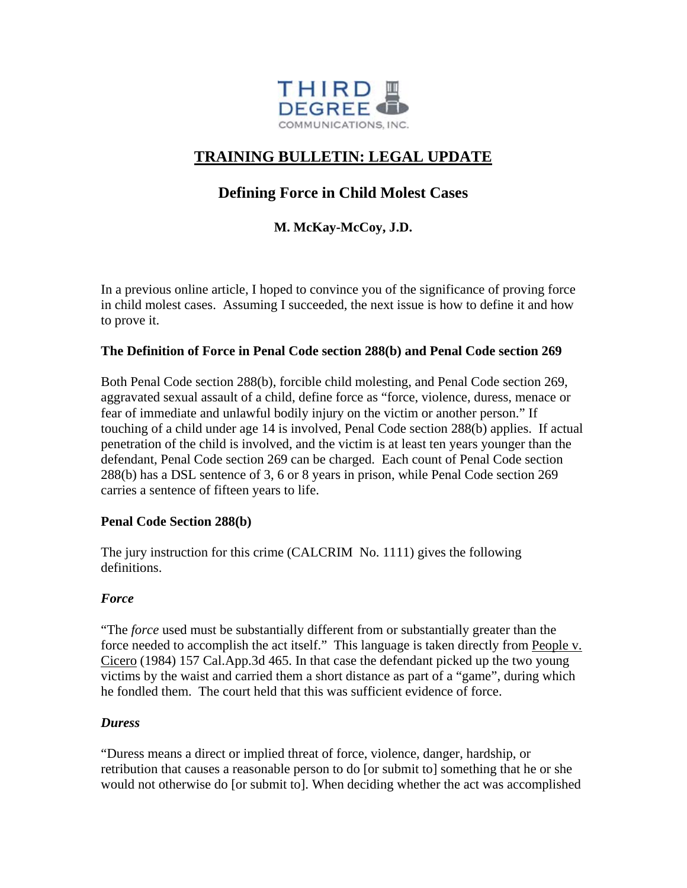

# **TRAINING BULLETIN: LEGAL UPDATE**

## **Defining Force in Child Molest Cases**

### **M. McKay-McCoy, J.D.**

In a previous online article, I hoped to convince you of the significance of proving force in child molest cases. Assuming I succeeded, the next issue is how to define it and how to prove it.

#### **The Definition of Force in Penal Code section 288(b) and Penal Code section 269**

Both Penal Code section 288(b), forcible child molesting, and Penal Code section 269, aggravated sexual assault of a child, define force as "force, violence, duress, menace or fear of immediate and unlawful bodily injury on the victim or another person." If touching of a child under age 14 is involved, Penal Code section 288(b) applies. If actual penetration of the child is involved, and the victim is at least ten years younger than the defendant, Penal Code section 269 can be charged. Each count of Penal Code section 288(b) has a DSL sentence of 3, 6 or 8 years in prison, while Penal Code section 269 carries a sentence of fifteen years to life.

#### **Penal Code Section 288(b)**

The jury instruction for this crime (CALCRIM No. 1111) gives the following definitions.

#### *Force*

"The *force* used must be substantially different from or substantially greater than the force needed to accomplish the act itself." This language is taken directly from People v. Cicero (1984) 157 Cal.App.3d 465. In that case the defendant picked up the two young victims by the waist and carried them a short distance as part of a "game", during which he fondled them. The court held that this was sufficient evidence of force.

#### *Duress*

"Duress means a direct or implied threat of force, violence, danger, hardship, or retribution that causes a reasonable person to do [or submit to] something that he or she would not otherwise do [or submit to]. When deciding whether the act was accomplished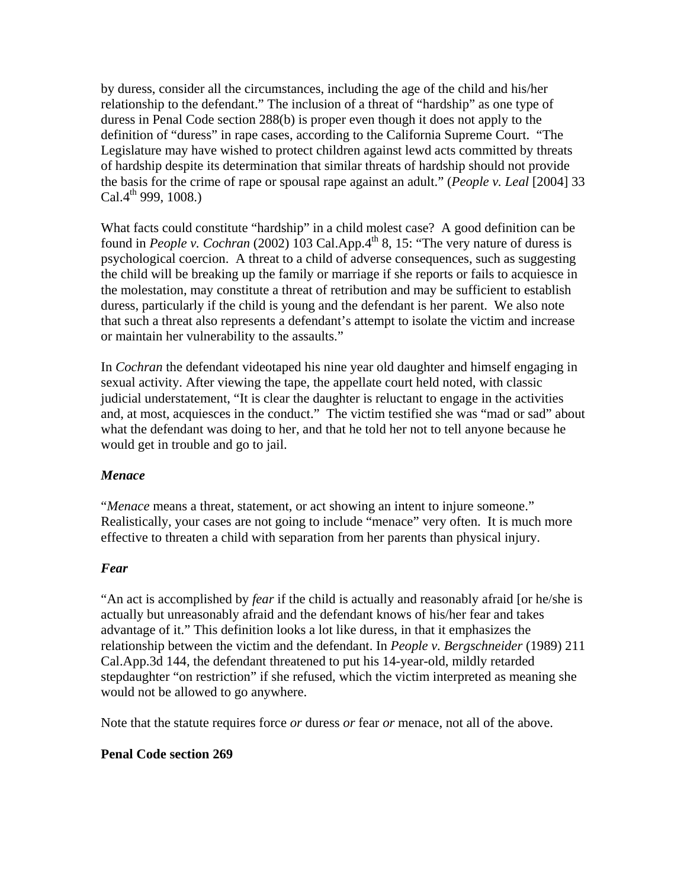by duress, consider all the circumstances, including the age of the child and his/her relationship to the defendant." The inclusion of a threat of "hardship" as one type o f duress in Penal Code section 288(b) is proper even though it does not apply to the definition of "duress" in rape cases, according to the California Supreme Court. "The Legislature may have wished to protect children against lewd acts committed by threats of hardship despite its determination that similar threats of hardship should not provide the basis for the crime of rape or spousal rape against an adult." (*People v. Leal* [2004] 33 Cal.4<sup>th</sup> 999, 1008.)

that such a threat also represents a defendant's attempt to isolate the victim and increase or maintain her vulnerability to the assaults." What facts could constitute "hardship" in a child molest case? A good definition can be found in *People v. Cochran* (2002) 103 Cal.App.4<sup>th</sup> 8, 15: "The very nature of duress is psychological coercion. A threat to a child of adverse consequences, such as suggesting the child will be breaking up the family or marriage if she reports or fails to acquiesce in the molestation, may constitute a threat of retribution and may be sufficient to establish duress, particularly if the child is young and the defendant is her parent. We also note

In *Cochran* the defendant videotaped his nine year old daughter and himself engaging in and, at most, acquiesces in the conduct." The victim testified she was "mad or sad" about what the defendant was doing to her, and that he told her not to tell anyone because he would get in trouble and go to jail. sexual activity. After viewing the tape, the appellate court held noted, with classic judicial understatement, "It is clear the daughter is reluctant to engage in the activities

#### *Menace*

Realistically, your cases are not going to include "menace" very often. It is much more effective to threaten a child with separation from her parents than physical injury. "*Menace* means a threat, statement, or act showing an intent to injure someone."

#### *Fear*

"An act is accomplished by *fear* if the child is actually and reasonably afraid [or he/she is actually but unreasonably afraid and the defendant knows of his/her fear and takes relationship between the victim and the defendant. In *People v. Bergschneider* (1989) 211 stepdaughter "on restriction" if she refused, which the victim interpreted as meaning she would not be allowed to go anywhere. advantage of it." This definition looks a lot like duress, in that it emphasizes the Cal.App.3d 144, the defendant threatened to put his 14-year-old, mildly retarded

Note that the statute requires force *or* duress *or* fear *or* menace, not all of the above.

#### **enal Code section 269 P**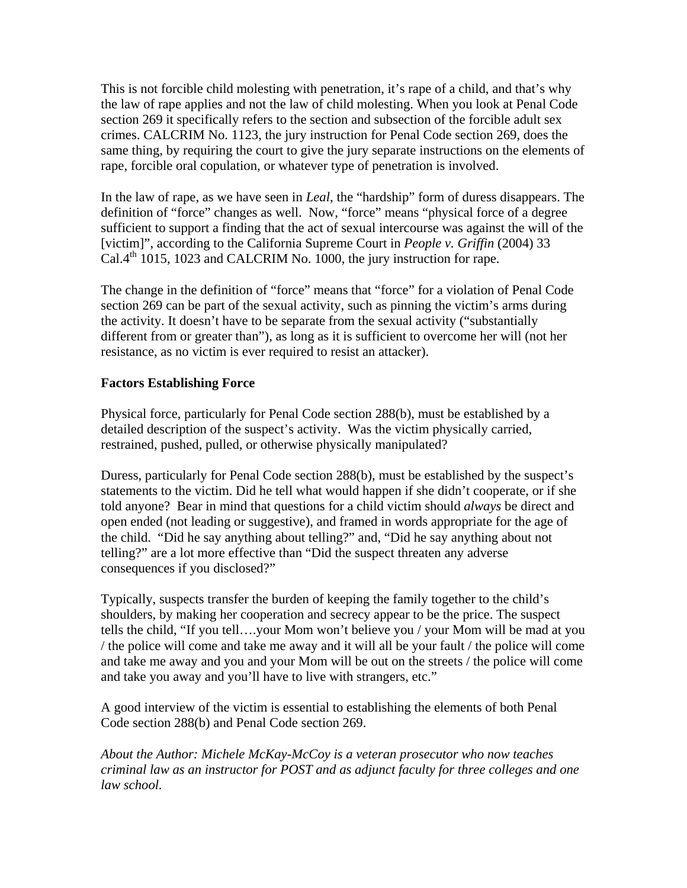This is not forcible child molesting with penetration, it's rape of a child, and that's why the law of rape applies and not the law of child molesting. When you look at Penal Code section 269 it specifically refers to the section and subsection of the forcible adult sex crimes. CALCRIM No. 1123, the jury instruction for Penal Code section 269, does the same thing, by requiring the court to give the jury separate instructions on the elements of rape, forcible oral copulation, or whatever type of penetration is involved.

definition of "force" changes as well. Now, "force" means "physical force of a degree sufficient to support a finding that the act of sexual intercourse was against the will of the [victim]", according to the California Supreme Court in *People v. Griffin* (2004) 33 In the law of rape, as we have seen in *Leal*, the "hardship" form of duress disappears. The  $Cal.4<sup>th</sup> 1015$ , 1023 and CALCRIM No. 1000, the jury instruction for rape.

The change in the definition of "force" means that "force" for a violation of Penal Code the activity. It doesn't have to be separate from the sexual activity ("substantially different from or greater than"), as long as it is sufficient to overcome her will (not her resistance, as no victim is ever required to resist an attacker). section 269 can be part of the sexual activity, such as pinning the victim's arms during

#### **Factors Establishing Force**

Physical force, particularly for Penal Code section 288(b), must be established by a detailed description of the suspect's activity. Was the victim physically carried, restrained, pushed, pulled, or otherwise physically manipulated?

told anyone? Bear in mind that questions for a child victim should *always* be direct and open ended (not leading or suggestive), and framed in words appropriate for the age of the child. "Did he say anything about telling?" and, "Did he say anything about not telling?" are a lot more effective than "Did the suspect threaten any adverse Duress, particularly for Penal Code section 288(b), must be established by the suspect's statements to the victim. Did he tell what would happen if she didn't cooperate, or if she consequences if you disclosed?"

the police will come and take me away and it will all be your fault  $/$  the police will come and take me away and you and your Mom will be out on the streets / the police will come Typically, suspects transfer the burden of keeping the family together to the child's shoulders, by making her cooperation and secrecy appear to be the price. The suspect tells the child, "If you tell….your Mom won't believe you / your Mom will be mad at you and take you away and you'll have to live with strangers, etc."

A good interview of the victim is essential to establishing the elements of both Penal Code section 288(b) and Penal Code section 269.

About the Author: Michele McKay-McCoy is a veteran prosecutor who now teaches *riminal law as an instructor for POST and as adjunct faculty for three colleges and one claw school.*